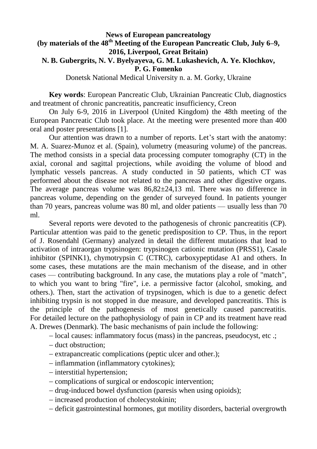#### **News of European pancreatology (by materials of the 48th Meeting of the European Pancreatic Club, July 6–9, 2016, Liverpool, Great Britain) N. B. Gubergrits, N. V. Byelyayeva, G. M. Lukashevich, A. Ye. Klochkov,**

**P. G. Fomenko**

Donetsk National Medical University n. a. M. Gorky, Ukraine

**Key words**: European Pancreatic Club, Ukrainian Pancreatic Club, diagnostics and treatment of chronic pancreatitis, pancreatic insufficiency, Creon

On July 6-9, 2016 in Liverpool (United Kingdom) the 48th meeting of the European Pancreatic Club took place. At the meeting were presented more than 400 oral and poster presentations [1].

Our attention was drawn to a number of reports. Let's start with the anatomy: M. A. Suarez-Munoz et al. (Spain), volumetry (measuring volume) of the pancreas. The method consists in a special data processing computer tomography (CT) in the axial, coronal and sagittal projections, while avoiding the volume of blood and lymphatic vessels pancreas. A study conducted in 50 patients, which CT was performed about the disease not related to the pancreas and other digestive organs. The average pancreas volume was  $86,82\pm24,13$  ml. There was no difference in pancreas volume, depending on the gender of surveyed found. In patients younger than 70 years, pancreas volume was 80 ml, and older patients — usually less than 70 ml.

Several reports were devoted to the pathogenesis of chronic pancreatitis (CP). Particular attention was paid to the genetic predisposition to CP. Thus, in the report of J. Rosendahl (Germany) analyzed in detail the different mutations that lead to activation of intraorgan trypsinogen: trypsinogen cationic mutation (PRSS1), Casale inhibitor (SPINK1), chymotrypsin C (CTRC), carboxypeptidase A1 and others. In some cases, these mutations are the main mechanism of the disease, and in other cases — contributing background. In any case, the mutations play a role of "match", to which you want to bring "fire", i.e. a permissive factor (alcohol, smoking, and others.). Then, start the activation of trypsinogen, which is due to a genetic defect inhibiting trypsin is not stopped in due measure, and developed pancreatitis. This is the principle of the pathogenesis of most genetically caused pancreatitis. For detailed lecture on the pathophysiology of pain in CP and its treatment have read A. Drewes (Denmark). The basic mechanisms of pain include the following:

 $\sim$  local causes: inflammatory focus (mass) in the pancreas, pseudocyst, etc .;

- duct obstruction:
- extrapancreatic complications (peptic ulcer and other.);
- inflammation (inflammatory cytokines);
- interstitial hypertension;
- complications of surgical or endoscopic intervention;
- drug-induced bowel dysfunction (paresis when using opioids);
- increased production of cholecystokinin;
- deficit gastrointestinal hormones, gut motility disorders, bacterial overgrowth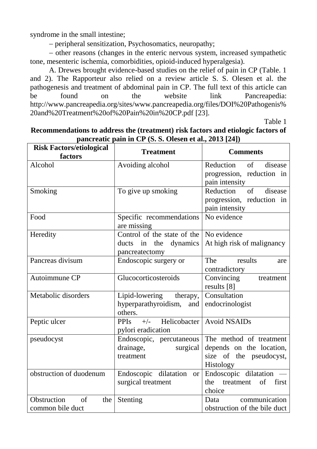syndrome in the small intestine;

peripheral sensitization, Psychosomatics, neuropathy;

 other reasons (changes in the enteric nervous system, increased sympathetic tone, mesenteric ischemia, comorbidities, opioid-induced hyperalgesia).

A. Drewes brought evidence-based studies on the relief of pain in CP (Table. 1 and 2). The Rapporteur also relied on a review article S. S. Olesen et al. the pathogenesis and treatment of abdominal pain in CP. The full text of this article can be found on the website link Pancreapedia: http://www.pancreapedia.org/sites/www.pancreapedia.org/files/DOI%20Pathogenis% 20and%20Treatment%20of%20Pain%20in%20CP.pdf [23].

Table 1

| <b>Risk Factors/etiological</b><br>factors | <b>Treatment</b>                     | <b>Comments</b>                  |  |
|--------------------------------------------|--------------------------------------|----------------------------------|--|
| Alcohol                                    | Avoiding alcohol                     | Reduction<br>$\sigma$<br>disease |  |
|                                            |                                      | progression, reduction in        |  |
|                                            |                                      | pain intensity                   |  |
| Smoking                                    | To give up smoking                   | $\sigma$<br>Reduction<br>disease |  |
|                                            |                                      | progression, reduction in        |  |
|                                            |                                      | pain intensity                   |  |
| Food                                       | Specific recommendations             | No evidence                      |  |
|                                            | are missing                          |                                  |  |
| Heredity                                   | Control of the state of the          | No evidence                      |  |
|                                            | ducts in the dynamics                | At high risk of malignancy       |  |
|                                            | pancreatectomy                       |                                  |  |
| Pancreas divisum                           | Endoscopic surgery or                | The<br>results<br>are            |  |
|                                            |                                      | contradictory                    |  |
| Autoimmune CP                              | Glucocorticosteroids                 | Convincing<br>treatment          |  |
|                                            |                                      | results [8]                      |  |
| Metabolic disorders                        | Lipid-lowering therapy,              | Consultation                     |  |
|                                            | hyperparathyroidism,<br>and          | endocrinologist                  |  |
|                                            | others.                              |                                  |  |
| Peptic ulcer                               | Helicobacter<br><b>PPIs</b><br>$+/-$ | <b>Avoid NSAIDs</b>              |  |
|                                            | pylori eradication                   |                                  |  |
| pseudocyst                                 | Endoscopic, percutaneous             | The method of treatment          |  |
|                                            | drainage,<br>surgical                | depends on the location,         |  |
|                                            | treatment                            | size of the pseudocyst,          |  |
|                                            |                                      | <b>Histology</b>                 |  |
| obstruction of duodenum                    | Endoscopic dilatation or             | Endoscopic dilatation -          |  |
|                                            | surgical treatment                   | of<br>first<br>the<br>treatment  |  |
|                                            |                                      | choice                           |  |
| Obstruction<br>$\sigma$ f<br>the           | Stenting                             | communication<br>Data            |  |
| common bile duct                           |                                      | obstruction of the bile duct     |  |

#### **Recommendations to address the (treatment) risk factors and etiologic factors of pancreatic pain in CP (S. S. Olesen et al., 2013 [24])**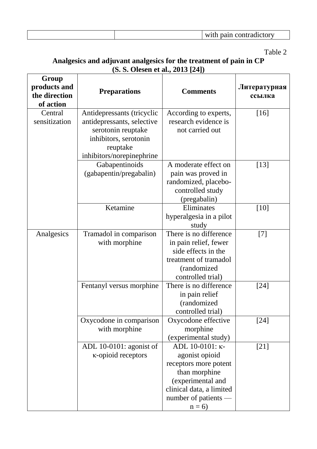| WILL.<br>ш<br>т<br>211<br>∠ւ∪ւ |
|--------------------------------|
|--------------------------------|

# Table 2

#### **Analgesics and adjuvant analgesics for the treatment of pain in CP (S. S. Olesen et al., 2013 [24])**

| Group<br>products and<br>the direction<br>of action | <b>Preparations</b>                                                                                                                              | <b>Comments</b>                                                                                                                                                 | Литературная<br>ссылка |
|-----------------------------------------------------|--------------------------------------------------------------------------------------------------------------------------------------------------|-----------------------------------------------------------------------------------------------------------------------------------------------------------------|------------------------|
| Central<br>sensitization                            | Antidepressants (tricyclic<br>antidepressants, selective<br>serotonin reuptake<br>inhibitors, serotonin<br>reuptake<br>inhibitors/norepinephrine | According to experts,<br>research evidence is<br>not carried out                                                                                                | $[16]$                 |
|                                                     | Gabapentinoids<br>(gabapentin/pregabalin)                                                                                                        | A moderate effect on<br>pain was proved in<br>randomized, placebo-<br>controlled study<br>(pregabalin)                                                          | $[13]$                 |
|                                                     | Ketamine                                                                                                                                         | Eliminates<br>hyperalgesia in a pilot<br>study                                                                                                                  | [10]                   |
| Analgesics                                          | Tramadol in comparison<br>with morphine                                                                                                          | There is no difference<br>in pain relief, fewer<br>side effects in the<br>treatment of tramadol<br>(randomized<br>controlled trial)                             | $[7]$                  |
|                                                     | Fentanyl versus morphine                                                                                                                         | There is no difference<br>in pain relief<br>(randomized<br>controlled trial)                                                                                    | $[24]$                 |
|                                                     | Oxycodone in comparison<br>with morphine                                                                                                         | Oxycodone effective<br>morphine<br>(experimental study)                                                                                                         | $[24]$                 |
|                                                     | ADL 10-0101: agonist of<br><b>K-opioid receptors</b>                                                                                             | ADL 10-0101: κ-<br>agonist opioid<br>receptors more potent<br>than morphine<br>(experimental and<br>clinical data, a limited<br>number of patients —<br>$n = 6$ | $[21]$                 |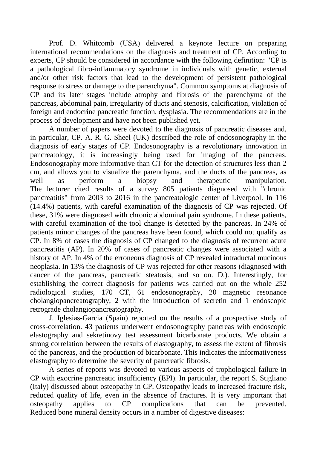Prof. D. Whitcomb (USA) delivered a keynote lecture on preparing international recommendations on the diagnosis and treatment of CP. According to experts, CP should be considered in accordance with the following definition: "CP is a pathological fibro-inflammatory syndrome in individuals with genetic, external and/or other risk factors that lead to the development of persistent pathological response to stress or damage to the parenchyma". Common symptoms at diagnosis of CP and its later stages include atrophy and fibrosis of the parenchyma of the pancreas, abdominal pain, irregularity of ducts and stenosis, calcification, violation of foreign and endocrine pancreatic function, dysplasia. The recommendations are in the process of development and have not been published yet.

A number of papers were devoted to the diagnosis of pancreatic diseases and, in particular, CP. A. R. G. Sheel (UK) described the role of endosonography in the diagnosis of early stages of CP. Endosonography is a revolutionary innovation in pancreatology, it is increasingly being used for imaging of the pancreas. Endosonography more informative than CT for the detection of structures less than 2 cm, and allows you to visualize the parenchyma, and the ducts of the pancreas, as well as perform a biopsy and therapeutic manipulation. The lecturer cited results of a survey 805 patients diagnosed with "chronic pancreatitis" from 2003 to 2016 in the pancreatologic center of Liverpool. In 116 (14.4%) patients, with careful examination of the diagnosis of CP was rejected. Of these, 31% were diagnosed with chronic abdominal pain syndrome. In these patients, with careful examination of the tool change is detected by the pancreas. In 24% of patients minor changes of the pancreas have been found, which could not qualify as CP. In 8% of cases the diagnosis of CP changed to the diagnosis of recurrent acute pancreatitis (AP). In 20% of cases of pancreatic changes were associated with a history of AP. In 4% of the erroneous diagnosis of CP revealed intraductal mucinous neoplasia. In 13% the diagnosis of CP was rejected for other reasons (diagnosed with cancer of the pancreas, pancreatic steatosis, and so on. D.). Interestingly, for establishing the correct diagnosis for patients was carried out on the whole 252 radiological studies, 170 CT, 61 endosonography, 20 magnetic resonance cholangiopancreatography, 2 with the introduction of secretin and 1 endoscopic retrograde cholangiopancreatography.

J. Iglesias-Garcia (Spain) reported on the results of a prospective study of cross-correlation. 43 patients underwent endosonography pancreas with endoscopic elastography and sekretinovy test assessment bicarbonate products. We obtain a strong correlation between the results of elastography, to assess the extent of fibrosis of the pancreas, and the production of bicarbonate. This indicates the informativeness elastography to determine the severity of pancreatic fibrosis.

A series of reports was devoted to various aspects of trophological failure in CP with exocrine pancreatic insufficiency (EPI). In particular, the report S. Stigliano (Italy) discussed about osteopathy in CP. Osteopathy leads to increased fracture risk, reduced quality of life, even in the absence of fractures. It is very important that osteopathy applies to CP complications that can be prevented. Reduced bone mineral density occurs in a number of digestive diseases: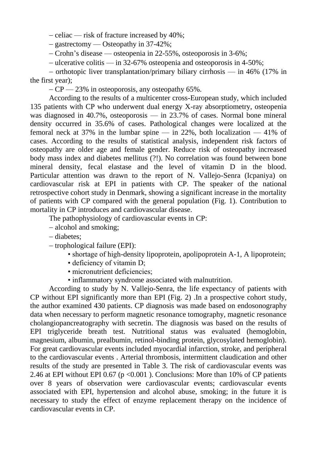- celiac — risk of fracture increased by 40%;

- gastrectomy — Osteopathy in 37-42%;

 $-$  Crohn's disease — osteopenia in 22-55%, osteoporosis in 3-6%;

ulcerative colitis — in 32-67% osteopenia and osteoporosis in 4-50%;

 $-$  orthotopic liver transplantation/primary biliary cirrhosis — in 46% (17% in the first year);

 $-CP$   $-23\%$  in osteoporosis, any osteopathy 65%.

According to the results of a multicenter cross-European study, which included 135 patients with CP who underwent dual energy X-ray absorptiometry, osteopenia was diagnosed in 40.7%, osteoporosis — in 23.7% of cases. Normal bone mineral density occurred in 35.6% of cases. Pathological changes were localized at the femoral neck at 37% in the lumbar spine — in 22%, both localization — 41% of cases. According to the results of statistical analysis, independent risk factors of osteopathy are older age and female gender. Reduce risk of osteopathy increased body mass index and diabetes mellitus (?!). No correlation was found between bone mineral density, fecal elastase and the level of vitamin D in the blood. Particular attention was drawn to the report of N. Vallejo-Senra (Icpaniya) on cardiovascular risk at EPI in patients with CP. The speaker of the national retrospective cohort study in Denmark, showing a significant increase in the mortality of patients with CP compared with the general population (Fig. 1). Contribution to mortality in CP introduces and cardiovascular disease.

The pathophysiology of cardiovascular events in CP:

alcohol and smoking;

diabetes;

 $-$  trophological failure (EPI):

- shortage of high-density lipoprotein, apolipoprotein A-1, A lipoprotein;
- deficiency of vitamin D;
- micronutrient deficiencies:
- inflammatory syndrome associated with malnutrition.

According to study by N. Vallejo-Senra, the life expectancy of patients with CP without EPI significantly more than EPI (Fig. 2) .In a prospective cohort study, the author examined 430 patients. CP diagnosis was made based on endosonography data when necessary to perform magnetic resonance tomography, magnetic resonance cholangiopancreatography with secretin. The diagnosis was based on the results of EPI triglyceride breath test. Nutritional status was evaluated (hemoglobin, magnesium, albumin, prealbumin, retinol-binding protein, glycosylated hemoglobin). For great cardiovascular events included myocardial infarction, stroke, and peripheral to the cardiovascular events . Arterial thrombosis, intermittent claudication and other results of the study are presented in Table 3. The risk of cardiovascular events was 2.46 at EPI without EPI 0.67 ( $p \le 0.001$ ). Conclusions: More than 10% of CP patients over 8 years of observation were cardiovascular events; cardiovascular events associated with EPI, hypertension and alcohol abuse, smoking; in the future it is necessary to study the effect of enzyme replacement therapy on the incidence of cardiovascular events in CP.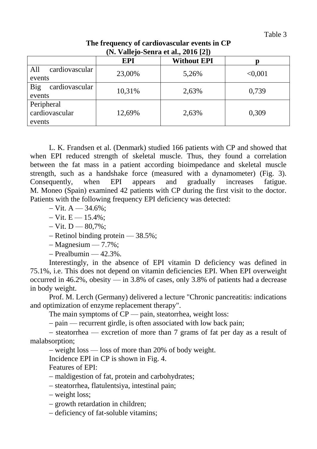| (N. Vallejo-Senra et al., 2016 [2])    |            |                    |         |  |  |  |
|----------------------------------------|------------|--------------------|---------|--|--|--|
|                                        | <b>EPI</b> | <b>Without EPI</b> |         |  |  |  |
| cardiovascular<br>All<br>events        | 23,00%     | 5,26%              | < 0,001 |  |  |  |
| cardiovascular<br>Big<br>events        | 10,31%     | 2,63%              | 0,739   |  |  |  |
| Peripheral<br>cardiovascular<br>events | 12,69%     | 2,63%              | 0,309   |  |  |  |

### **The frequency of cardiovascular events in CP (N. Vallejo-Senra et al., 2016 [2])**

L. K. Frandsen et al. (Denmark) studied 166 patients with CP and showed that when EPI reduced strength of skeletal muscle. Thus, they found a correlation between the fat mass in a patient according bioimpedance and skeletal muscle strength, such as a handshake force (measured with a dynamometer) (Fig. 3). Consequently, when EPI appears and gradually increases fatigue. M. Moneo (Spain) examined 42 patients with CP during the first visit to the doctor. Patients with the following frequency EPI deficiency was detected:

- $-Vit. A 34.6\%$
- $-Vit. E \rightarrow 15.4\%;$
- $-Vit. D 80.7\%$
- $-$  Retinol binding protein  $-$  38.5%;
- $-Ma$ gnesium 7.7%;
- $-$  Prealbumin  $-$  42.3%.

Interestingly, in the absence of EPI vitamin D deficiency was defined in 75.1%, i.e. This does not depend on vitamin deficiencies EPI. When EPI overweight occurred in  $46.2\%$ , obesity — in 3.8% of cases, only 3.8% of patients had a decrease in body weight.

Prof. M. Lerch (Germany) delivered a lecture "Chronic pancreatitis: indications and optimization of enzyme replacement therapy".

The main symptoms of CP — pain, steatorrhea, weight loss:

- pain — recurrent girdle, is often associated with low back pain;

 $\sim$  steatorrhea — excretion of more than 7 grams of fat per day as a result of malabsorption;

weight loss — loss of more than 20% of body weight.

Incidence EPI in CP is shown in Fig. 4.

Features of EPI:

- maldigestion of fat, protein and carbohydrates;

steatorrhea, flatulentsiya, intestinal pain;

- weight loss;

- growth retardation in children;

- deficiency of fat-soluble vitamins;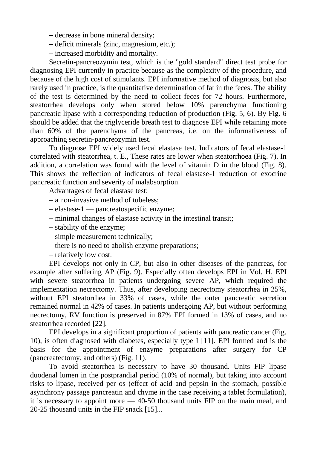– decrease in bone mineral density;

- deficit minerals (zinc, magnesium, etc.);
- increased morbidity and mortality.

Secretin-pancreozymin test, which is the "gold standard" direct test probe for diagnosing EPI currently in practice because as the complexity of the procedure, and because of the high cost of stimulants. EPI informative method of diagnosis, but also rarely used in practice, is the quantitative determination of fat in the feces. The ability of the test is determined by the need to collect feces for 72 hours. Furthermore, steatorrhea develops only when stored below 10% parenchyma functioning pancreatic lipase with a corresponding reduction of production (Fig. 5, 6). By Fig. 6 should be added that the triglyceride breath test to diagnose EPI while retaining more than 60% of the parenchyma of the pancreas, i.e. on the informativeness of approaching secretin-pancreozymin test.

To diagnose EPI widely used fecal elastase test. Indicators of fecal elastase-1 correlated with steatorrhea, t. E., These rates are lower when steatorrhoea (Fig. 7). In addition, a correlation was found with the level of vitamin D in the blood (Fig. 8). This shows the reflection of indicators of fecal elastase-1 reduction of exocrine pancreatic function and severity of malabsorption.

Advantages of fecal elastase test:

- a non-invasive method of tubeless;
- elastase-1 pancreatospecific enzyme;
- minimal changes of elastase activity in the intestinal transit;
- stability of the enzyme;
- simple measurement technically;
- there is no need to abolish enzyme preparations;
- relatively low cost.

EPI develops not only in CP, but also in other diseases of the pancreas, for example after suffering AP (Fig. 9). Especially often develops EPI in Vol. H. EPI with severe steatorrhea in patients undergoing severe AP, which required the implementation necrectomy. Thus, after developing necrectomy steatorrhea in 25%, without EPI steatorrhea in 33% of cases, while the outer pancreatic secretion remained normal in 42% of cases. In patients undergoing AP, but without performing necrectomy, RV function is preserved in 87% EPI formed in 13% of cases, and no steatorrhea recorded [22].

EPI develops in a significant proportion of patients with pancreatic cancer (Fig. 10), is often diagnosed with diabetes, especially type I [11]. EPI formed and is the basis for the appointment of enzyme preparations after surgery for CP (pancreatectomy, and others) (Fig. 11).

To avoid steatorrhea is necessary to have 30 thousand. Units FIP lipase duodenal lumen in the postprandial period (10% of normal), but taking into account risks to lipase, received per os (effect of acid and pepsin in the stomach, possible asynchrony passage pancreatin and chyme in the case receiving a tablet formulation), it is necessary to appoint more — 40-50 thousand units FIP on the main meal, and 20-25 thousand units in the FIP snack [15]...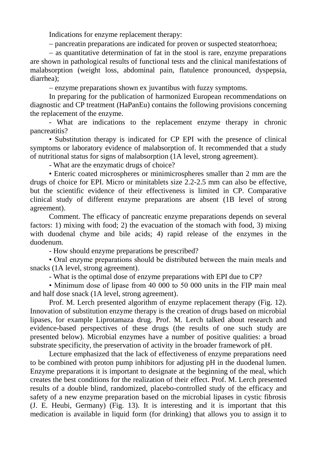Indications for enzyme replacement therapy:

pancreatin preparations are indicated for proven or suspected steatorrhoea;

 $-$  as quantitative determination of fat in the stool is rare, enzyme preparations are shown in pathological results of functional tests and the clinical manifestations of malabsorption (weight loss, abdominal pain, flatulence pronounced, dyspepsia, diarrhea);

– enzyme preparations shown ex juvantibus with fuzzy symptoms.

In preparing for the publication of harmonized European recommendations on diagnostic and CP treatment (HaPanEu) contains the following provisions concerning the replacement of the enzyme.

- What are indications to the replacement enzyme therapy in chronic pancreatitis?

• Substitution therapy is indicated for CP EPI with the presence of clinical symptoms or laboratory evidence of malabsorption of. It recommended that a study of nutritional status for signs of malabsorption (1A level, strong agreement).

- What are the enzymatic drugs of choice?

• Enteric coated microspheres or minimicrospheres smaller than 2 mm are the drugs of choice for EPI. Micro or minitablets size 2.2-2.5 mm can also be effective, but the scientific evidence of their effectiveness is limited in CP. Comparative clinical study of different enzyme preparations are absent (1B level of strong agreement).

Comment. The efficacy of pancreatic enzyme preparations depends on several factors: 1) mixing with food; 2) the evacuation of the stomach with food, 3) mixing with duodenal chyme and bile acids; 4) rapid release of the enzymes in the duodenum.

- How should enzyme preparations be prescribed?

• Oral enzyme preparations should be distributed between the main meals and snacks (1A level, strong agreement).

- What is the optimal dose of enzyme preparations with EPI due to CP?

• Minimum dose of lipase from 40 000 to 50 000 units in the FIP main meal and half dose snack (1A level, strong agreement).

Prof. M. Lerch presented algorithm of enzyme replacement therapy (Fig. 12). Innovation of substitution enzyme therapy is the creation of drugs based on microbial lipases, for example Liprotamaza drug. Prof. M. Lerch talked about research and evidence-based perspectives of these drugs (the results of one such study are presented below). Microbial enzymes have a number of positive qualities: a broad substrate specificity, the preservation of activity in the broader framework of pH.

Lecture emphasized that the lack of effectiveness of enzyme preparations need to be combined with proton pump inhibitors for adjusting pH in the duodenal lumen. Enzyme preparations it is important to designate at the beginning of the meal, which creates the best conditions for the realization of their effect. Prof. M. Lerch presented results of a double blind, randomized, placebo-controlled study of the efficacy and safety of a new enzyme preparation based on the microbial lipases in cystic fibrosis (J. E. Heubi, Germany) (Fig. 13). It is interesting and it is important that this medication is available in liquid form (for drinking) that allows you to assign it to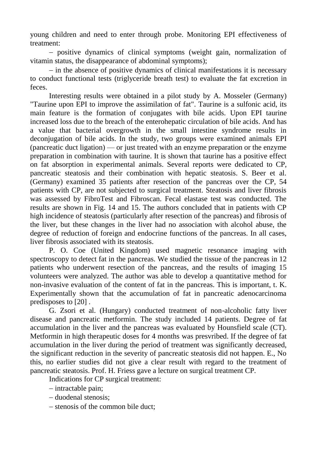young children and need to enter through probe. Monitoring EPI effectiveness of treatment:

- positive dynamics of clinical symptoms (weight gain, normalization of vitamin status, the disappearance of abdominal symptoms);

 $\overline{\phantom{a}}$  in the absence of positive dynamics of clinical manifestations it is necessary to conduct functional tests (triglyceride breath test) to evaluate the fat excretion in feces.

Interesting results were obtained in a pilot study by A. Mosseler (Germany) "Taurine upon EPI to improve the assimilation of fat". Taurine is a sulfonic acid, its main feature is the formation of conjugates with bile acids. Upon EPI taurine increased loss due to the breach of the enterohepatic circulation of bile acids. And has a value that bacterial overgrowth in the small intestine syndrome results in deconjugation of bile acids. In the study, two groups were examined animals EPI (pancreatic duct ligation) — or just treated with an enzyme preparation or the enzyme preparation in combination with taurine. It is shown that taurine has a positive effect on fat absorption in experimental animals. Several reports were dedicated to CP, pancreatic steatosis and their combination with hepatic steatosis. S. Beer et al. (Germany) examined 35 patients after resection of the pancreas over the CP, 54 patients with CP, are not subjected to surgical treatment. Steatosis and liver fibrosis was assessed by FibroTest and Fibroscan. Fecal elastase test was conducted. The results are shown in Fig. 14 and 15. The authors concluded that in patients with CP high incidence of steatosis (particularly after resection of the pancreas) and fibrosis of the liver, but these changes in the liver had no association with alcohol abuse, the degree of reduction of foreign and endocrine functions of the pancreas. In all cases, liver fibrosis associated with its steatosis.

P. O. Coe (United Kingdom) used magnetic resonance imaging with spectroscopy to detect fat in the pancreas. We studied the tissue of the pancreas in 12 patients who underwent resection of the pancreas, and the results of imaging 15 volunteers were analyzed. The author was able to develop a quantitative method for non-invasive evaluation of the content of fat in the pancreas. This is important, t. K. Experimentally shown that the accumulation of fat in pancreatic adenocarcinoma predisposes to [20] .

G. Zsori et al. (Hungary) conducted treatment of non-alcoholic fatty liver disease and pancreatic metformin. The study included 14 patients. Degree of fat accumulation in the liver and the pancreas was evaluated by Hounsfield scale (CT). Metformin in high therapeutic doses for 4 months was presvribed. If the degree of fat accumulation in the liver during the period of treatment was significantly decreased, the significant reduction in the severity of pancreatic steatosis did not happen. E., No this, no earlier studies did not give a clear result with regard to the treatment of pancreatic steatosis. Prof. H. Friess gave a lecture on surgical treatment CP.

Indications for CP surgical treatment:

 $-$  intractable pain;

- duodenal stenosis;

- stenosis of the common bile duct;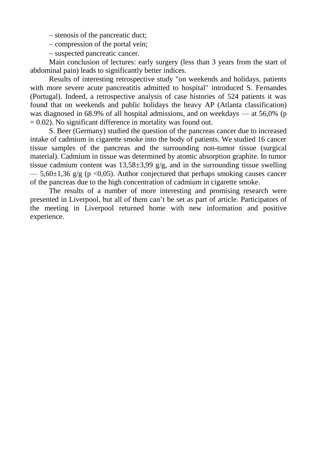- stenosis of the pancreatic duct;

- compression of the portal vein;

- suspected pancreatic cancer.

Main conclusion of lectures: early surgery (less than 3 years from the start of abdominal pain) leads to significantly better indices.

Results of interesting retrospective study "on weekends and holidays, patients with more severe acute pancreatitis admitted to hospital" introduced S. Fernandes (Portugal). Indeed, a retrospective analysis of case histories of 524 patients it was found that on weekends and public holidays the heavy AP (Atlanta classification) was diagnosed in 68.9% of all hospital admissions, and on weekdays — at 56,0% (p  $= 0.02$ ). No significant difference in mortality was found out.

S. Beer (Germany) studied the question of the pancreas cancer due to increased intake of cadmium in cigarette smoke into the body of patients. We studied 16 cancer tissue samples of the pancreas and the surrounding non-tumor tissue (surgical material). Cadmium in tissue was determined by atomic absorption graphite. In tumor tissue cadmium content was  $13,58\pm3,99$  g/g, and in the surrounding tissue swelling  $-$  5,60 $\pm$ 1,36 g/g (p <0,05). Author conjectured that perhaps smoking causes cancer of the pancreas due to the high concentration of cadmium in cigarette smoke.

The results of a number of more interesting and promising research were presented in Liverpool, but all of them can't be set as part of article. Participators of the meeting in Liverpool returned home with new information and positive experience.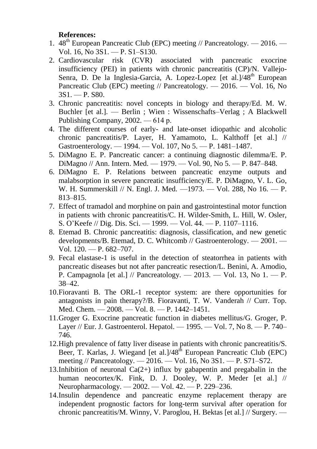#### **References:**

- 1.  $48<sup>th</sup>$  European Pancreatic Club (EPC) meeting // Pancreatology. 2016. Vol. 16, No 3S1. — P. S1–S130.
- 2. Cardiovascular risk (CVR) associated with pancreatic exocrine insufficiency (PEI) in patients with chronic pancreatitis (CP)/N. Vallejo-Senra, D. De la Inglesia-Garcia, A. Lopez-Lopez [et al.]/48<sup>th</sup> European Pancreatic Club (EPC) meeting // Pancreatology. — 2016. — Vol. 16, No 3S1. — P. S80.
- 3. Chronic pancreatitis: novel concepts in biology and therapy/Ed. M. W. Buchler [et al.]. — Berlin ; Wien : Wissenschafts–Verlag ; A Blackwell Publishing Company, 2002. — 614 р.
- 4. The different courses of early- and late-onset idiopathic and alcoholic chronic pancreatitis/P. Layer, H. Yamamoto, L. Kalthoff [et al.] // Gastroenterology. — 1994. — Vol. 107, No 5. — P. 1481–1487.
- 5. DiMagno E. P. Pancreatic cancer: a continuing diagnostic dilemma/E. P. DiMagno // Ann. Intern. Med. — 1979. — Vol. 90, No 5. — P. 847–848.
- 6. DiMagno E. P. Relations between pancreatic enzyme outputs and malabsorption in severe pancreatic insufficiency/E. P. DiMagno, V. L. Go, W. H. Summerskill // N. Engl. J. Med. —1973. — Vol. 288, No 16. — P. 813–815.
- <span id="page-10-2"></span>7. Effect of tramadol and morphine on pain and gastrointestinal motor function in patients with chronic pancreatitis/C. H. Wilder-Smith, L. Hill, W. Osler, S. O'Keefe // Dig. Dis. Sci. — 1999. — Vol. 44. — P. 1107–1116.
- 8. Etemad B. Chronic pancreatitis: diagnosis, classification, and new genetic developments/B. Etemad, D. C. Whitcomb // Gastroenterology. — 2001. — Vol. 120. — P. 682–707.
- 9. Fecal elastase-1 is useful in the detection of steatorrhea in patients with pancreatic diseases but not after pancreatic resection/L. Benini, A. Amodio, P. Campagnola [et al.] // Pancreatology. — 2013. — Vol. 13, No 1. — P. 38–42.
- <span id="page-10-1"></span>10.Fioravanti B. The ORL-1 receptor system: are there opportunities for antagonists in pain therapy?/B. Fioravanti, T. W. Vanderah // Curr. Top. Med. Chem. — 2008. — Vol. 8. — P. 1442–1451.
- 11.Groger G. Exocrine pancreatic function in diabetes mellitus/G. Groger, P. Layer // Eur. J. Gastroenterol. Hepatol. — 1995. — Vol. 7, No 8. — P. 740– 746.
- 12.High prevalence of fatty liver disease in patients with chronic pancreatitis/S. Beer, T. Karlas, J. Wiegand [et al.]/48<sup>th</sup> European Pancreatic Club (EPC) meeting // Pancreatology. — 2016. — Vol. 16, No 3S1. — P. S71–S72.
- <span id="page-10-0"></span>13.Inhibition of neuronal  $Ca(2+)$  influx by gabapentin and pregabalin in the human neocortex/K. Fink, D. J. Dooley, W. P. Meder [et al.] // Neuropharmacology. — 2002. — Vol. 42. — P. 229–236.
- 14.Insulin dependence and pancreatic enzyme replacement therapy are independent prognostic factors for long-term survival after operation for chronic pancreatitis/M. Winny, V. Paroglou, H. Bektas [et al.] // Surgery. —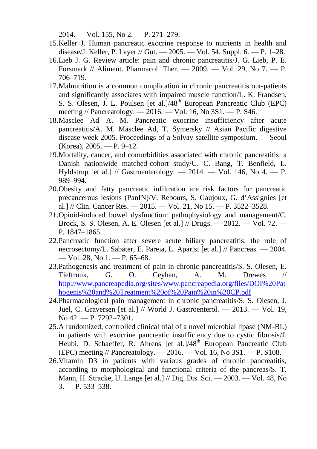2014. — Vol. 155, No 2. — P. 271–279.

- 15.Keller J. Human pancreatic exocrine response to nutrients in health and disease/J. Keller, P. Layer // Gut. — 2005. — Vol. 54, Suppl. 6. — P. 1–28.
- <span id="page-11-0"></span>16.Lieb J. G. Review article: pain and chronic pancreatitis/J. G. Lieb, P. E. Forsmark // Aliment. Pharmacol. Ther. — 2009. — Vol. 29, No 7. — P. 706–719.
- 17.Malnutrition is a common complication in chronic pancreatitis out-patients and significantly associates with impaired muscle function/L. K. Frandsen, S. S. Olesen, J. L. Poulsen [et al.]/48<sup>th</sup> European Pancreatic Club (EPC) meeting // Pancreatology. — 2016. — Vol. 16, No 3S1. — P. S46.
- 18.Masclee Ad A. M. Pancreatic exocrine insufficiency after acute pancreatitis/A. M. Masclee Ad, T. Symersky // Asian Pacific digestive disease week 2005. Proceedings of a Solvay satellite symposium. — Seoul (Korea), 2005. — P. 9–12.
- 19.Mortality, cancer, and comorbidities associated with chronic pancreatitis: a Danish nationwide matched-cohort study/U. C. Bang, T. Benfield, L. Hyldstrup [et al.] // Gastroenterology. — 2014. — Vol. 146, No 4. — P. 989–994.
- 20.Obesity and fatty pancreatic infiltration are risk factors for pancreatic precancerous lesions (PanIN)/V. Rebours, S. Gaujoux, G. d'Assignies [et al.] // Clin. Cancer Res. — 2015. — Vol. 21, No 15. — P. 3522–3528.
- <span id="page-11-2"></span>21.Opioid-induced bowel dysfunction: pathophysiology and management/C. Brock, S. S. Olesen, A. E. Olesen [et al.] // Drugs. — 2012. — Vol. 72. — P. 1847–1865.
- 22.Pancreatic function after severe acute biliary pancreatitis: the role of necrosectomy/L. Sabater, E. Pareja, L. Aparisi [et al.] // Pancreas. — 2004. — Vol. 28, No 1. — P. 65–68.
- 23.Pathogenesis and treatment of pain in chronic pancreatitis/S. S. Olesen, E. Tieftrunk, G. O. Ceyhan, A. M. Drewes // [http://www.pancreapedia.org/sites/www.pancreapedia.org/files/DOI%20Pat](http://www.pancreapedia.org/sites/www.pancreapedia.org/files/DOI%20Pathogenis%20and%20Treatment%20of%20Pain%20in%20CP.pdf) [hogenis%20and%20Treatment%20of%20Pain%20in%20CP.pdf](http://www.pancreapedia.org/sites/www.pancreapedia.org/files/DOI%20Pathogenis%20and%20Treatment%20of%20Pain%20in%20CP.pdf)
- <span id="page-11-1"></span>24.Pharmacological pain management in chronic pancreatitis/S. S. Olesen, J. Juel, C. Graversen [et al.] // World J. Gastroenterol. — 2013. — Vol. 19, No 42. — P. 7292–7301.
- 25.A randomized, controlled clinical trial of a novel microbial lipase (NM-BL) in patients with exocrine pancreatic insufficiency due to cystic fibrosis/J. Heubi, D. Schaeffer, R. Ahrens [et al.]/48<sup>th</sup> European Pancreatic Club (EPC) meeting // Pancreatology. — 2016. — Vol. 16, No 3S1. — P. S108.
- 26.Vitamin D3 in patients with various grades of chronic pancreatitis, according to morphological and functional criteria of the pancreas/S. T. Mann, H. Stracke, U. Lange [et al.] // Dig. Dis. Sci. — 2003. — Vol. 48, No  $3. - P. 533 - 538.$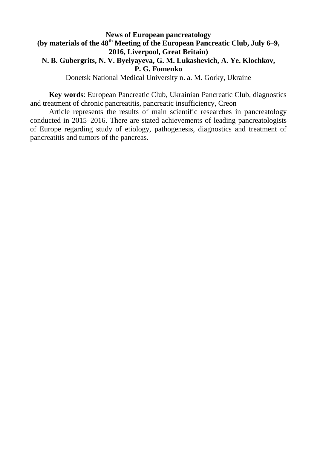## **News of European pancreatology** (by materials of the 48<sup>th</sup> Meeting of the European Pancreatic Club, July 6–9, **2016, Liverpool, Great Britain) N. B. Gubergrits, N. V. Byelyayeva, G. M. Lukashevich, A. Ye. Klochkov, P. G. Fomenko**

Donetsk National Medical University n. a. M. Gorky, Ukraine

**Key words**: European Pancreatic Club, Ukrainian Pancreatic Club, diagnostics and treatment of chronic pancreatitis, pancreatic insufficiency, Creon

Article represents the results of main scientific researches in pancreatology conducted in 2015–2016. There are stated achievements of leading pancreatologists of Europe regarding study of etiology, pathogenesis, diagnostics and treatment of pancreatitis and tumors of the pancreas.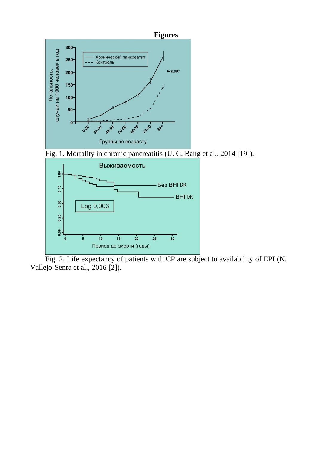

Fig. 2. Life expectancy of patients with CP are subject to availability of EPI (N. Vallejo-Senra et al., 2016 [2]).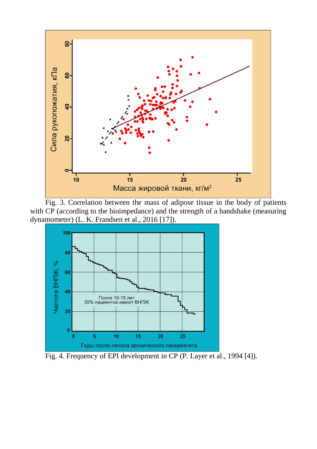

Fig. 3. Correlation between the mass of adipose tissue in the body of patients with CP (according to the bioimpedance) and the strength of a handshake (measuring dynamometer) (L. K. Frandsen et al., 2016 [17]).



Fig. 4. Frequency of EPI development in CP (P. Layer et al., 1994 [4]).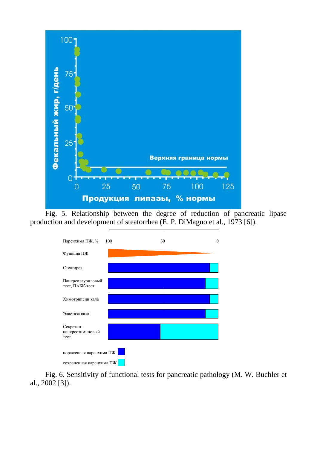

Fig. 5. Relationship between the degree of reduction of pancreatic lipase production and development of steatorrhea (E. P. DiMagno et al., 1973 [6]).



Fig. 6. Sensitivity of functional tests for pancreatic pathology (M. W. Buchler et al., 2002 [3]).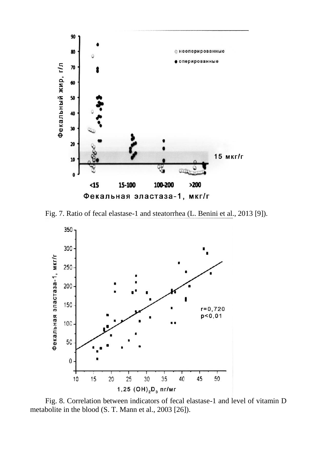

Fig. 7. Ratio of fecal elastase-1 and steatorrhea (L. Benini et al., 2013 [9]).



Fig. 8. Correlation between indicators of fecal elastase-1 and level of vitamin D metabolite in the blood (S. T. Mann et al., 2003 [26]).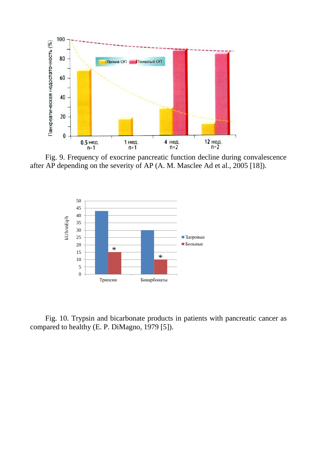

Fig. 9. Frequency of exocrine pancreatic function decline during convalescence after AP depending on the severity of AP (A. M. Masclee Ad et al., 2005 [18]).



Fig. 10. Trypsin and bicarbonate products in patients with pancreatic cancer as compared to healthy (E. P. DiMagno, 1979 [5]).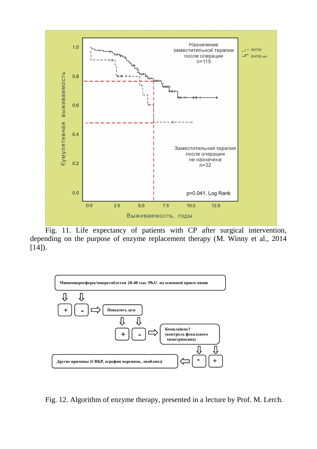

Fig. 11. Life expectancy of patients with CP after surgical intervention, depending on the purpose of enzyme replacement therapy (M. Winny et al., 2014  $[14]$ ).



Fig. 12. Algorithm of enzyme therapy, presented in a lecture by Prof. M. Lerch.